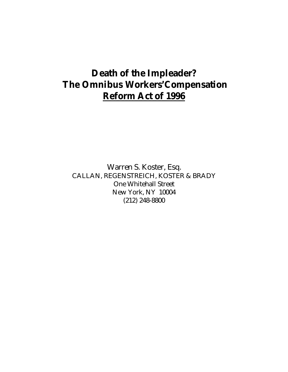# **Death of the Impleader? The Omnibus Workers'Compensation Reform Act of 1996**

 Warren S. Koster, Esq. CALLAN, REGENSTREICH, KOSTER & BRADY One Whitehall Street New York, NY 10004 (212) 248-8800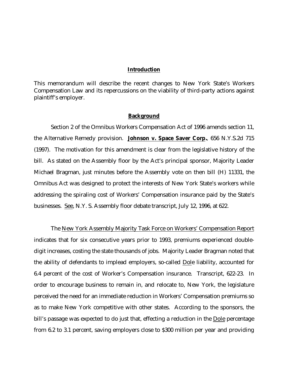### **Introduction**

This memorandum will describe the recent changes to New York State's Workers Compensation Law and its repercussions on the viability of third-party actions against plaintiff's employer.

#### **Background**

Section 2 of the Omnibus Workers Compensation Act of 1996 amends section 11, the Alternative Remedy provision. **Johnson v. Space Saver Corp***.,* 656 N.Y.S.2d 715 (1997). The motivation for this amendment is clear from the legislative history of the bill. As stated on the Assembly floor by the Act's principal sponsor, Majority Leader Michael Bragman, just minutes before the Assembly vote on then bill (H) 11331, the Omnibus Act was designed to protect the interests of New York State's workers while addressing the spiraling cost of Workers' Compensation insurance paid by the State's businesses. See, N.Y. S. Assembly floor debate transcript, July 12, 1996, at 622.

 The New York Assembly Majority Task Force on Workers' Compensation Report indicates that for six consecutive years prior to 1993, premiums experienced doubledigit increases, costing the state thousands of jobs. Majority Leader Bragman noted that the ability of defendants to implead employers, so-called Dole liability, accounted for 6.4 percent of the cost of Worker's Compensation insurance. Transcript, 622-23. In order to encourage business to remain in, and relocate to, New York, the legislature perceived the need for an immediate reduction in Workers' Compensation premiums so as to make New York competitive with other states. According to the sponsors, the bill's passage was expected to do just that, effecting a reduction in the Dole percentage from 6.2 to 3.1 percent, saving employers close to \$300 million per year and providing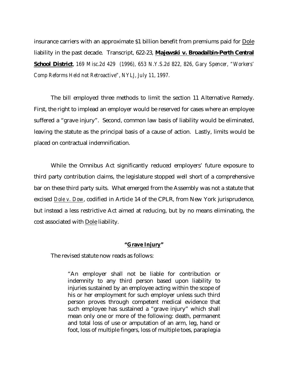insurance carriers with an approximate \$1 billion benefit from premiums paid for Dole liability in the past decade. Transcript, 622-23, *Majewski v. Broadalbin-Perth Central School District*, *169 Misc.2d 429 (1996), 653 N.Y.S.2d 822, 826, Gary Spencer, "Workers' Comp Reforms Held not Retroactive", NYLJ, July 11, 1997.* 

 The bill employed three methods to limit the section 11 Alternative Remedy. First, the right to implead an employer would be reserved for cases where an employee suffered a "grave injury". Second, common law basis of liability would be eliminated, leaving the statute as the principal basis of a cause of action. Lastly, limits would be placed on contractual indemnification.

 While the Omnibus Act significantly reduced employers' future exposure to third party contribution claims, the legislature stopped well short of a comprehensive bar on these third party suits. What emerged from the Assembly was not a statute that excised *Dole v. Dow*, codified in Article 14 of the CPLR, from New York jurisprudence, but instead a less restrictive Act aimed at reducing, but by no means eliminating, the cost associated with Dole liability.

#### **"Grave Injury"**

The revised statute now reads as follows:

"An employer shall not be liable for contribution or indemnity to any third person based upon liability to injuries sustained by an employee acting within the scope of his or her employment for such employer unless such third person proves through competent medical evidence that such employee has sustained a "grave injury" which shall mean only one or more of the following: death, permanent and total loss of use or amputation of an arm, leg, hand or foot, loss of multiple fingers, loss of multiple toes, paraplegia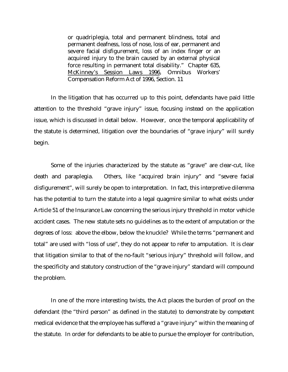or quadriplegia, total and permanent blindness, total and permanent deafness, loss of nose, loss of ear, permanent and severe facial disfigurement, loss of an index finger or an acquired injury to the brain caused by an external physical force resulting in permanent total disability." Chapter 635, McKinney's Session Laws 1996, Omnibus Workers' Compensation Reform Act of 1996, Section. 11

 In the litigation that has occurred up to this point, defendants have paid little attention to the threshold "grave injury" issue, focusing instead on the application issue, which is discussed in detail below. However, once the temporal applicability of the statute is determined, litigation over the boundaries of "grave injury" will surely begin.

 Some of the injuries characterized by the statute as "grave" are clear-cut, like death and paraplegia. Others, like "acquired brain injury" and "severe facial disfigurement", will surely be open to interpretation. In fact, this interpretive dilemma has the potential to turn the statute into a legal quagmire similar to what exists under Article 51 of the Insurance Law concerning the serious injury threshold in motor vehicle accident cases. The new statute sets no guidelines as to the extent of amputation or the degrees of loss: above the elbow, below the knuckle? While the terms "permanent and total" are used with "loss of use", they do not appear to refer to amputation. It is clear that litigation similar to that of the no-fault "serious injury" threshold will follow, and the specificity and statutory construction of the "grave injury" standard will compound the problem.

 In one of the more interesting twists, the Act places the burden of proof on the defendant (the "third person" as defined in the statute) to demonstrate by competent medical evidence that the employee has suffered a "grave injury" within the meaning of the statute. In order for defendants to be able to pursue the employer for contribution,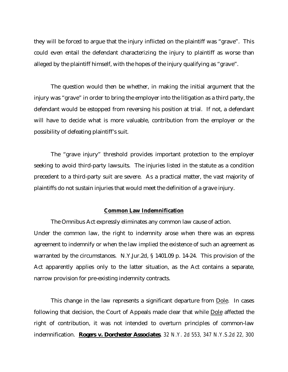they will be forced to argue that the injury inflicted on the plaintiff was "grave". This could even entail the defendant characterizing the injury to plaintiff as worse than alleged by the plaintiff himself, with the hopes of the injury qualifying as "grave".

 The question would then be whether, in making the initial argument that the injury was "grave" in order to bring the employer into the litigation as a third party, the defendant would be estopped from reversing his position at trial. If not, a defendant will have to decide what is more valuable, contribution from the employer or the possibility of defeating plaintiff's suit.

 The "grave injury" threshold provides important protection to the employer seeking to avoid third-party lawsuits. The injuries listed in the statute as a condition precedent to a third-party suit are severe. As a practical matter, the vast majority of plaintiffs do not sustain injuries that would meet the definition of a grave injury.

### **Common Law Indemnification**

 The Omnibus Act expressly eliminates any common law cause of action. Under the common law, the right to indemnity arose when there was an express agreement to indemnify or when the law implied the existence of such an agreement as warranted by the circumstances. N.Y.Jur.2d, § 1401.09 p. 14-24. This provision of the Act apparently applies only to the latter situation, as the Act contains a separate, narrow provision for pre-existing indemnity contracts.

This change in the law represents a significant departure from Dole. In cases following that decision, the Court of Appeals made clear that while Dole affected the right of contribution, it was not intended to overturn principles of common-law indemnification. *Rogers v. Dorchester Associates, 32 N.Y. 2d 553, 347 N.Y.S.2d 22, 300*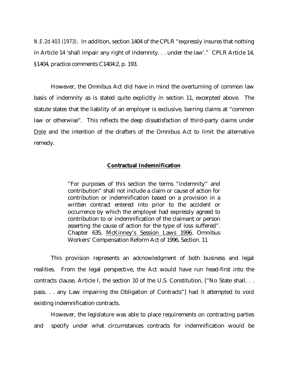*N.E.2d 403 (1973)*. In addition, section 1404 of the CPLR "expressly insures that nothing in Article 14 'shall impair any right of indemnity. . . under the law'." CPLR Article 14, §1404, practice comments C1404:2, p. 193.

 However, the Omnibus Act did have in mind the overturning of common law basis of indemnity as is stated quite explicitly in section 11, excerpted above. The statute states that the liability of an employer is exclusive, barring claims at "common law or otherwise". This reflects the deep dissatisfaction of third-party claims under Dole and the intention of the drafters of the Omnibus Act to limit the alternative remedy.

#### **Contractual Indemnification**

"For purposes of this section the terms "indemnity" and contribution" shall not include a claim or cause of action for contribution or indemnification based on a provision in a written contract entered into prior to the accident or occurrence by which the employer had expressly agreed to contribution to or indemnification of the claimant or person asserting the cause of action for the type of loss suffered". Chapter 635, McKinney's Session Laws 1996, Omnibus Workers' Compensation Reform Act of 1996, Section. 11

 This provision represents an acknowledgment of both business and legal realities. From the legal perspective, the Act would have run head-first into the contracts clause, Article I, the section 10 of the U.S. Constitution, ["No State shall. . . pass. . . any Law impairing the Obligation of Contracts"] had it attempted to void existing indemnification contracts.

 However, the legislature was able to place requirements on contracting parties and specify under what circumstances contracts for indemnification would be